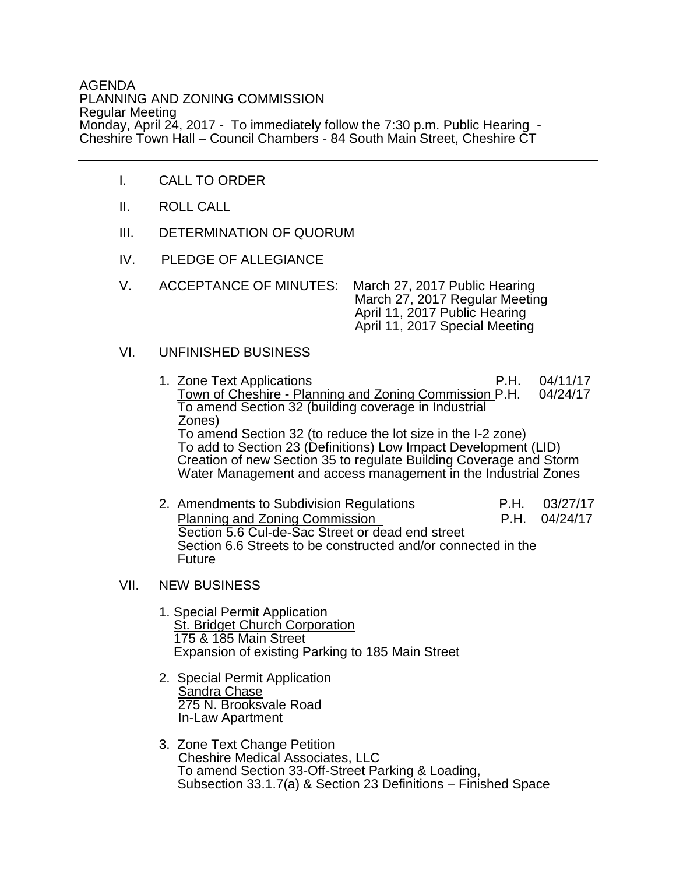## AGENDA PLANNING AND ZONING COMMISSION Regular Meeting Monday, April 24, 2017 - To immediately follow the 7:30 p.m. Public Hearing - Cheshire Town Hall – Council Chambers - 84 South Main Street, Cheshire CT

- I. CALL TO ORDER
- II. ROLL CALL
- III. DETERMINATION OF QUORUM
- IV. PLEDGE OF ALLEGIANCE
- V. ACCEPTANCE OF MINUTES: March 27, 2017 Public Hearing March 27, 2017 Regular Meeting April 11, 2017 Public Hearing April 11, 2017 Special Meeting

## VI. UNFINISHED BUSINESS

- 1. Zone Text Applications P.H. 04/11/17 Town of Cheshire - Planning and Zoning Commission P.H. 04/24/17 To amend Section 32 (building coverage in Industrial Zones) To amend Section 32 (to reduce the lot size in the I-2 zone) To add to Section 23 (Definitions) Low Impact Development (LID) Creation of new Section 35 to regulate Building Coverage and Storm Water Management and access management in the Industrial Zones
- 2. Amendments to Subdivision Regulations P.H. 03/27/17 Planning and Zoning Commission **P.H.** 04/24/17 Section 5.6 Cul-de-Sac Street or dead end street Section 6.6 Streets to be constructed and/or connected in the Future

## VII. NEW BUSINESS

- 1. Special Permit Application St. Bridget Church Corporation 175 & 185 Main Street Expansion of existing Parking to 185 Main Street
- 2. Special Permit Application **Sandra Chase**  275 N. Brooksvale Road In-Law Apartment
	- 3. Zone Text Change Petition Cheshire Medical Associates, LLC To amend Section 33-Off-Street Parking & Loading, Subsection 33.1.7(a) & Section 23 Definitions – Finished Space